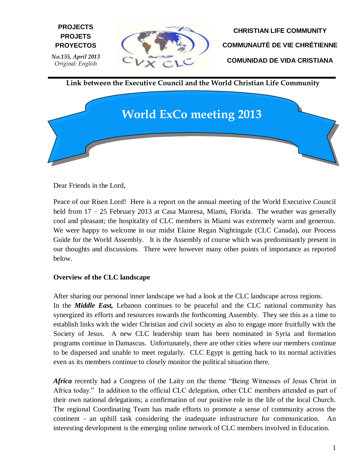

**CHRISTIAN LIFE COMMUNITY COMMUNAUTÉ DE VIE CHRÉTIENNE COMUNIDAD DE VIDA CRISTIANA**

**Link between the Executive Council and the World Christian Life Community**



Dear Friends in the Lord,

**E PROYECTOS**

**PROJECTS PROJETS**

Peace of our Risen Lord! Here is a report on the annual meeting of the World Executive Council held from 17 – 25 February 2013 at Casa Manresa, Miami, Florida. The weather was generally cool and pleasant; the hospitality of CLC members in Miami was extremely warm and generous. We were happy to welcome in our midst Elaine Regan Nightingale (CLC Canada), our Process Guide for the World Assembly. It is the Assembly of course which was predominantly present in our thoughts and discussions. There were however many other points of importance as reported below.

## **Overview of the CLC landscape**

After sharing our personal inner landscape we had a look at the CLC landscape across regions. In the *Middle East,* Lebanon continues to be peaceful and the CLC national community has synergized its efforts and resources towards the forthcoming Assembly. They see this as a time to establish links with the wider Christian and civil society as also to engage more fruitfully with the Society of Jesus. A new CLC leadership team has been nominated in Syria and formation programs continue in Damascus. Unfortunately, there are other cities where our members continue to be dispersed and unable to meet regularly. CLC Egypt is getting back to its normal activities even as its members continue to closely monitor the political situation there.

Africa recently had a Congress of the Laity on the theme "Being Witnesses of Jesus Christ in Africa today." In addition to the official CLC delegation, other CLC members attended as part of their own national delegations; a confirmation of our positive role in the life of the local Church. The regional Coordinating Team has made efforts to promote a sense of community across the continent - an uphill task considering the inadequate infrastructure for communication. An interesting development is the emerging online network of CLC members involved in Education.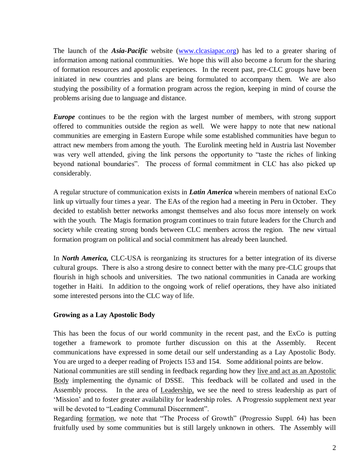The launch of the *Asia-Pacific* website [\(www.clcasiapac.org\)](http://www.clcasiapac.org/) has led to a greater sharing of information among national communities. We hope this will also become a forum for the sharing of formation resources and apostolic experiences. In the recent past, pre-CLC groups have been initiated in new countries and plans are being formulated to accompany them. We are also studying the possibility of a formation program across the region, keeping in mind of course the problems arising due to language and distance.

*Europe* continues to be the region with the largest number of members, with strong support offered to communities outside the region as well. We were happy to note that new national communities are emerging in Eastern Europe while some established communities have begun to attract new members from among the youth. The Eurolink meeting held in Austria last November was very well attended, giving the link persons the opportunity to "taste the riches of linking beyond national boundaries". The process of formal commitment in CLC has also picked up considerably.

A regular structure of communication exists in *Latin America* wherein members of national ExCo link up virtually four times a year. The EAs of the region had a meeting in Peru in October. They decided to establish better networks amongst themselves and also focus more intensely on work with the youth. The Magis formation program continues to train future leaders for the Church and society while creating strong bonds between CLC members across the region. The new virtual formation program on political and social commitment has already been launched.

In *North America,* CLC-USA is reorganizing its structures for a better integration of its diverse cultural groups. There is also a strong desire to connect better with the many pre-CLC groups that flourish in high schools and universities. The two national communities in Canada are working together in Haiti. In addition to the ongoing work of relief operations, they have also initiated some interested persons into the CLC way of life.

## **Growing as a Lay Apostolic Body**

This has been the focus of our world community in the recent past, and the ExCo is putting together a framework to promote further discussion on this at the Assembly. Recent communications have expressed in some detail our self understanding as a Lay Apostolic Body. You are urged to a deeper reading of Projects 153 and 154. Some additional points are below.

National communities are still sending in feedback regarding how they live and act as an Apostolic Body implementing the dynamic of DSSE. This feedback will be collated and used in the Assembly process. In the area of Leadership, we see the need to stress leadership as part of 'Mission' and to foster greater availability for leadership roles. A Progressio supplement next year will be devoted to "Leading Communal Discernment".

Regarding formation, we note that "The Process of Growth" (Progressio Suppl. 64) has been fruitfully used by some communities but is still largely unknown in others. The Assembly will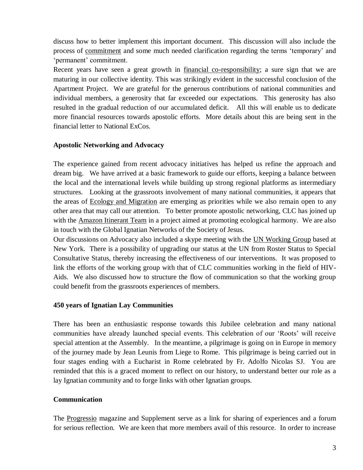discuss how to better implement this important document. This discussion will also include the process of commitment and some much needed clarification regarding the terms 'temporary' and 'permanent' commitment.

Recent years have seen a great growth in financial co-responsibility; a sure sign that we are maturing in our collective identity. This was strikingly evident in the successful conclusion of the Apartment Project. We are grateful for the generous contributions of national communities and individual members, a generosity that far exceeded our expectations. This generosity has also resulted in the gradual reduction of our accumulated deficit. All this will enable us to dedicate more financial resources towards apostolic efforts. More details about this are being sent in the financial letter to National ExCos.

# **Apostolic Networking and Advocacy**

The experience gained from recent advocacy initiatives has helped us refine the approach and dream big. We have arrived at a basic framework to guide our efforts, keeping a balance between the local and the international levels while building up strong regional platforms as intermediary structures. Looking at the grassroots involvement of many national communities, it appears that the areas of **Ecology and Migration** are emerging as priorities while we also remain open to any other area that may call our attention. To better promote apostolic networking, CLC has joined up with the Amazon Itinerant Team in a project aimed at promoting ecological harmony. We are also in touch with the Global Ignatian Networks of the Society of Jesus.

Our discussions on Advocacy also included a skype meeting with the UN Working Group based at New York. There is a possibility of upgrading our status at the UN from Roster Status to Special Consultative Status, thereby increasing the effectiveness of our interventions. It was proposed to link the efforts of the working group with that of CLC communities working in the field of HIV-Aids. We also discussed how to structure the flow of communication so that the working group could benefit from the grassroots experiences of members.

## **450 years of Ignatian Lay Communities**

There has been an enthusiastic response towards this Jubilee celebration and many national communities have already launched special events. This celebration of our 'Roots' will receive special attention at the Assembly. In the meantime, a pilgrimage is going on in Europe in memory of the journey made by Jean Leunis from Liege to Rome. This pilgrimage is being carried out in four stages ending with a Eucharist in Rome celebrated by Fr. Adolfo Nicolas SJ. You are reminded that this is a graced moment to reflect on our history, to understand better our role as a lay Ignatian community and to forge links with other Ignatian groups.

# **Communication**

The Progressio magazine and Supplement serve as a link for sharing of experiences and a forum for serious reflection. We are keen that more members avail of this resource. In order to increase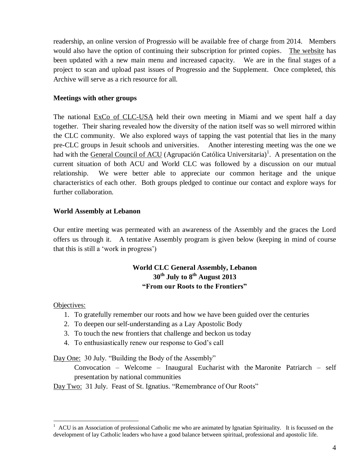readership, an online version of Progressio will be available free of charge from 2014. Members would also have the option of continuing their subscription for printed copies. The website has been updated with a new main menu and increased capacity. We are in the final stages of a project to scan and upload past issues of Progressio and the Supplement. Once completed, this Archive will serve as a rich resource for all.

#### **Meetings with other groups**

The national ExCo of CLC-USA held their own meeting in Miami and we spent half a day together. Their sharing revealed how the diversity of the nation itself was so well mirrored within the CLC community. We also explored ways of tapping the vast potential that lies in the many pre-CLC groups in Jesuit schools and universities. Another interesting meeting was the one we had with the General Council of ACU (Agrupación Católica Universitaria)<sup>1</sup>. A presentation on the current situation of both ACU and World CLC was followed by a discussion on our mutual relationship. We were better able to appreciate our common heritage and the unique characteristics of each other. Both groups pledged to continue our contact and explore ways for further collaboration.

#### **World Assembly at Lebanon**

Our entire meeting was permeated with an awareness of the Assembly and the graces the Lord offers us through it. A tentative Assembly program is given below (keeping in mind of course that this is still a 'work in progress')

# **World CLC General Assembly, Lebanon 30th July to 8th August 2013 "From our Roots to the Frontiers"**

Objectives:

 $\overline{a}$ 

- 1. To gratefully remember our roots and how we have been guided over the centuries
- 2. To deepen our self-understanding as a Lay Apostolic Body
- 3. To touch the new frontiers that challenge and beckon us today
- 4. To enthusiastically renew our response to God's call

Day One: 30 July. "Building the Body of the Assembly"

Convocation – Welcome – Inaugural Eucharist with the Maronite Patriarch – self presentation by national communities

Day Two: 31 July. Feast of St. Ignatius. "Remembrance of Our Roots"

<sup>1</sup> ACU is an Association of professional Catholic me who are animated by Ignatian Spirituality. It is focussed on the development of lay Catholic leaders who have a good balance between spiritual, professional and apostolic life.